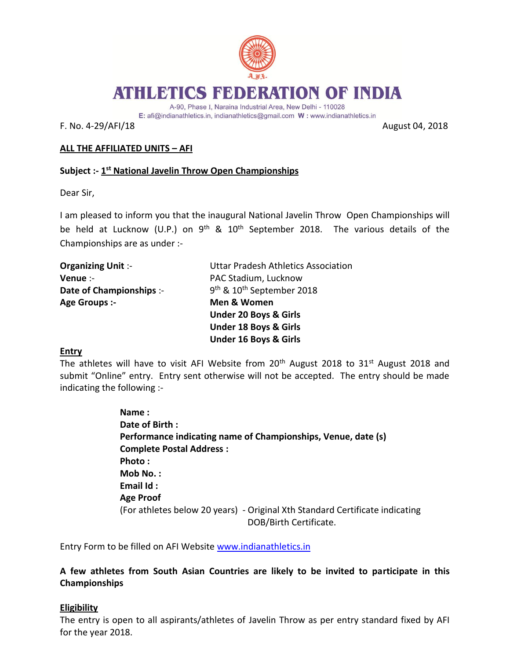

E: afi@indianathletics.in, indianathletics@gmail.com W: www.indianathletics.in

F. No. 4-29/AFI/18 August 04, 2018

# **ALL THE AFFILIATED UNITS – AFI**

# **Subject :- 1 st National Javelin Throw Open Championships**

Dear Sir,

I am pleased to inform you that the inaugural National Javelin Throw Open Championships will be held at Lucknow (U.P.) on  $9<sup>th</sup>$  &  $10<sup>th</sup>$  September 2018. The various details of the Championships are as under :-

| <b>Organizing Unit:-</b> | Uttar Pradesh Athletics Association               |
|--------------------------|---------------------------------------------------|
| Venue :-                 | PAC Stadium, Lucknow                              |
| Date of Championships :- | 9 <sup>th</sup> & 10 <sup>th</sup> September 2018 |
| Age Groups :-            | Men & Women                                       |
|                          | <b>Under 20 Boys &amp; Girls</b>                  |
|                          | <b>Under 18 Boys &amp; Girls</b>                  |
|                          | <b>Under 16 Boys &amp; Girls</b>                  |

## **Entry**

The athletes will have to visit AFI Website from  $20<sup>th</sup>$  August 2018 to 31<sup>st</sup> August 2018 and submit "Online" entry. Entry sent otherwise will not be accepted. The entry should be made indicating the following :-

> **Name : Date of Birth : Performance indicating name of Championships, Venue, date (s) Complete Postal Address : Photo : Mob No. : Email Id : Age Proof**  (For athletes below 20 years) - Original Xth Standard Certificate indicating DOB/Birth Certificate.

Entry Form to be filled on AFI Website [www.indianathletics.in](http://www.indianathletics.in/)

**A few athletes from South Asian Countries are likely to be invited to participate in this Championships**

# **Eligibility**

The entry is open to all aspirants/athletes of Javelin Throw as per entry standard fixed by AFI for the year 2018.